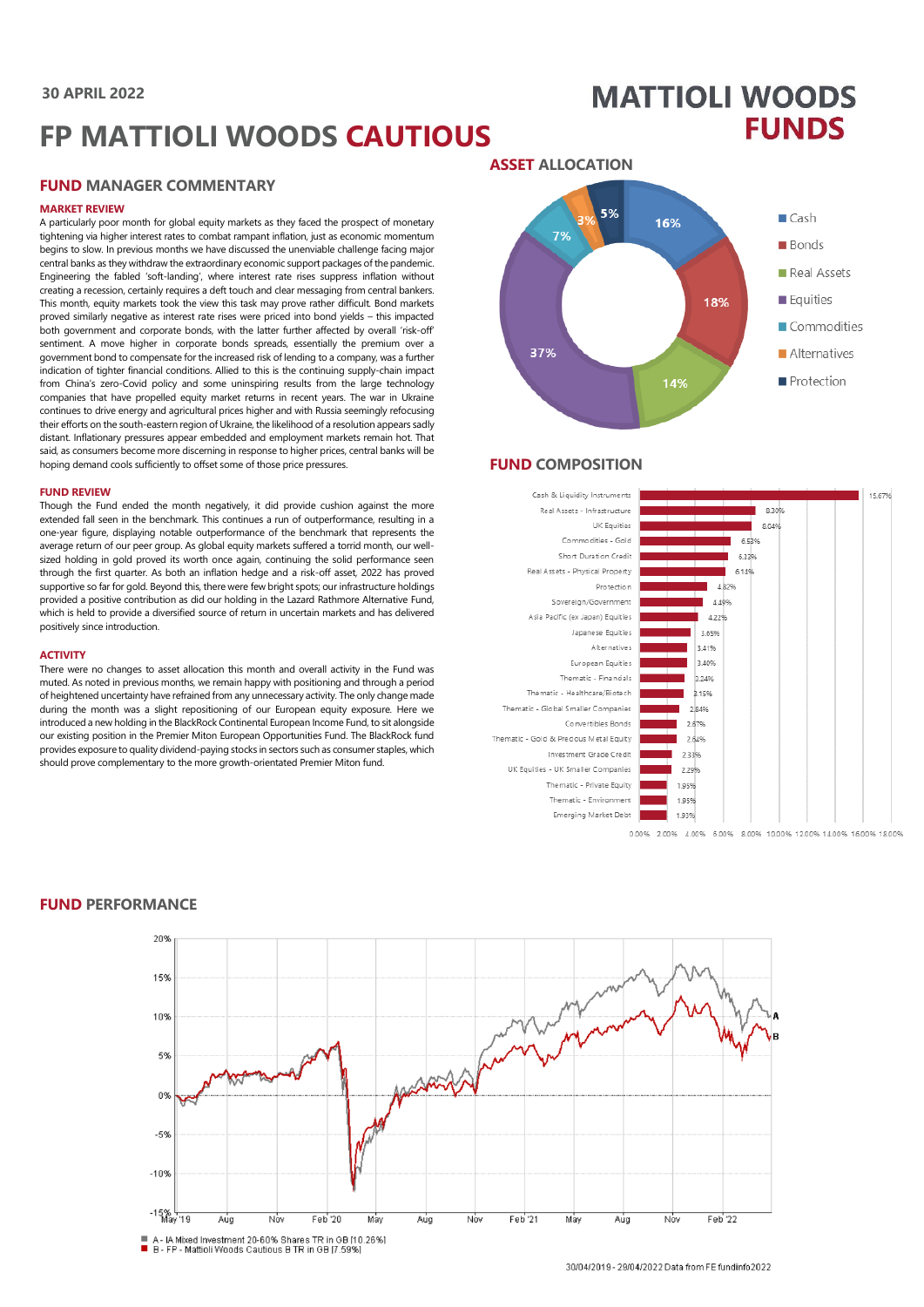# **30 APRIL 2022**

# **FP MATTIOLI WOODS CAUTIOUS**

## **FUND MANAGER COMMENTARY**

#### **MARKET REVIEW**

A particularly poor month for global equity markets as they faced the prospect of monetary tightening via higher interest rates to combat rampant inflation, just as economic momentum begins to slow. In previous months we have discussed the unenviable challenge facing major central banks as they withdraw the extraordinary economic support packages of the pandemic. Engineering the fabled 'soft-landing', where interest rate rises suppress inflation without creating a recession, certainly requires a deft touch and clear messaging from central bankers. This month, equity markets took the view this task may prove rather difficult. Bond markets proved similarly negative as interest rate rises were priced into bond yields – this impacted both government and corporate bonds, with the latter further affected by overall 'risk-off' sentiment. A move higher in corporate bonds spreads, essentially the premium over a government bond to compensate for the increased risk of lending to a company, was a further indication of tighter financial conditions. Allied to this is the continuing supply-chain impact from China's zero-Covid policy and some uninspiring results from the large technology companies that have propelled equity market returns in recent years. The war in Ukraine continues to drive energy and agricultural prices higher and with Russia seemingly refocusing their efforts on the south-eastern region of Ukraine, the likelihood of a resolution appears sadly distant. Inflationary pressures appear embedded and employment markets remain hot. That said, as consumers become more discerning in response to higher prices, central banks will be hoping demand cools sufficiently to offset some of those price pressures.

#### **FUND REVIEW**

Though the Fund ended the month negatively, it did provide cushion against the more extended fall seen in the benchmark. This continues a run of outperformance, resulting in a one-year figure, displaying notable outperformance of the benchmark that represents the average return of our peer group. As global equity markets suffered a torrid month, our wellsized holding in gold proved its worth once again, continuing the solid performance seen through the first quarter. As both an inflation hedge and a risk-off asset, 2022 has proved supportive so far for gold. Beyond this, there were few bright spots; our infrastructure holdings provided a positive contribution as did our holding in the Lazard Rathmore Alternative Fund, which is held to provide a diversified source of return in uncertain markets and has delivered positively since introduction.

#### **ACTIVITY**

There were no changes to asset allocation this month and overall activity in the Fund was muted. As noted in previous months, we remain happy with positioning and through a period of heightened uncertainty have refrained from any unnecessary activity. The only change made during the month was a slight repositioning of our European equity exposure. Here we introduced a new holding in the BlackRock Continental European Income Fund, to sit alongside our existing position in the Premier Miton European Opportunities Fund. The BlackRock fund provides exposure to quality dividend-paying stocks in sectors such as consumer staples, which should prove complementary to the more growth-orientated Premier Miton fund.



**MATTIOLI WOODS** 

**FUNDS** 

# **FUND COMPOSITION**



0.00% 2.00% 4.00% 6.00% 8.00% 10.00% 12.00% 14.00% 16.00% 18.00%



#### **FUND PERFORMANCE**